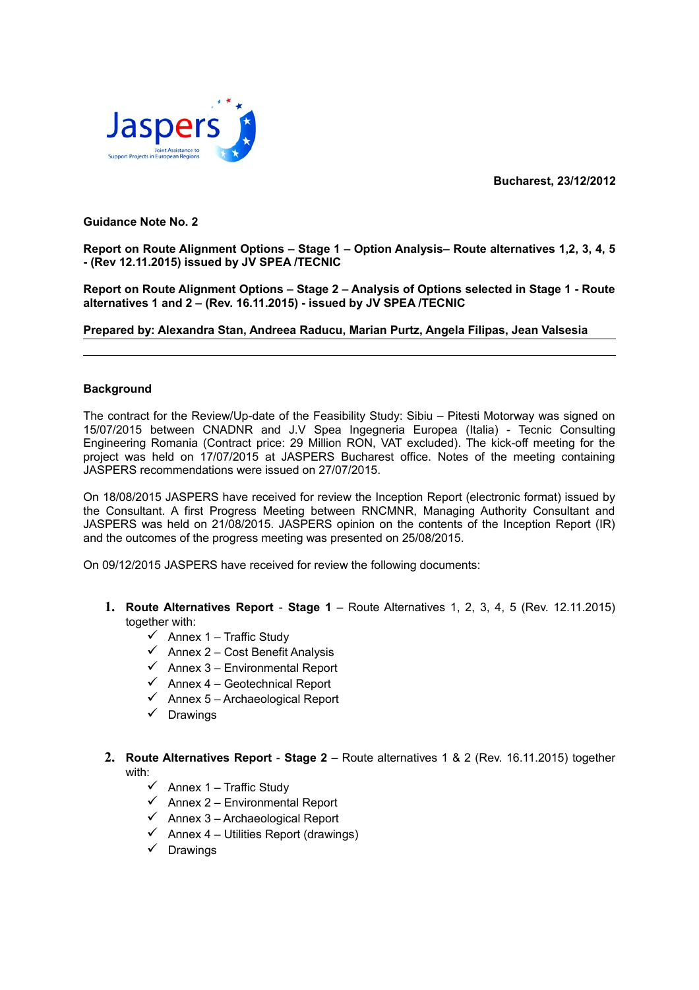**Bucharest, 23/12/2012**



# **Guidance Note No. 2**

**Report on Route Alignment Options – Stage 1 – Option Analysis– Route alternatives 1,2, 3, 4, 5 - (Rev 12.11.2015) issued by JV SPEA /TECNIC**

**Report on Route Alignment Options – Stage 2 – Analysis of Options selected in Stage 1 - Route alternatives 1 and 2 – (Rev. 16.11.2015) - issued by JV SPEA /TECNIC**

**Prepared by: Alexandra Stan, Andreea Raducu, Marian Purtz, Angela Filipas, Jean Valsesia**

# **Background**

The contract for the Review/Up-date of the Feasibility Study: Sibiu – Pitesti Motorway was signed on 15/07/2015 between CNADNR and J.V Spea Ingegneria Europea (Italia) - Tecnic Consulting Engineering Romania (Contract price: 29 Million RON, VAT excluded). The kick-off meeting for the project was held on 17/07/2015 at JASPERS Bucharest office. Notes of the meeting containing JASPERS recommendations were issued on 27/07/2015.

On 18/08/2015 JASPERS have received for review the Inception Report (electronic format) issued by the Consultant. A first Progress Meeting between RNCMNR, Managing Authority Consultant and JASPERS was held on 21/08/2015. JASPERS opinion on the contents of the Inception Report (IR) and the outcomes of the progress meeting was presented on 25/08/2015.

On 09/12/2015 JASPERS have received for review the following documents:

- **1. Route Alternatives Report Stage 1** Route Alternatives 1, 2, 3, 4, 5 (Rev. 12.11.2015) together with:
	- $\checkmark$  Annex 1 Traffic Study
	- $\checkmark$  Annex 2 Cost Benefit Analysis
	- $\checkmark$  Annex 3 Environmental Report
	- $\checkmark$  Annex 4 Geotechnical Report
	- $\checkmark$  Annex 5 Archaeological Report
	- $\checkmark$  Drawings
- **2. Route Alternatives Report Stage 2** Route alternatives 1 & 2 (Rev. 16.11.2015) together with:
	- $\checkmark$  Annex 1 Traffic Study
	- $\checkmark$  Annex 2 Environmental Report
	- $\checkmark$  Annex 3 Archaeological Report
	- $\checkmark$  Annex 4 Utilities Report (drawings)
	- $\checkmark$  Drawings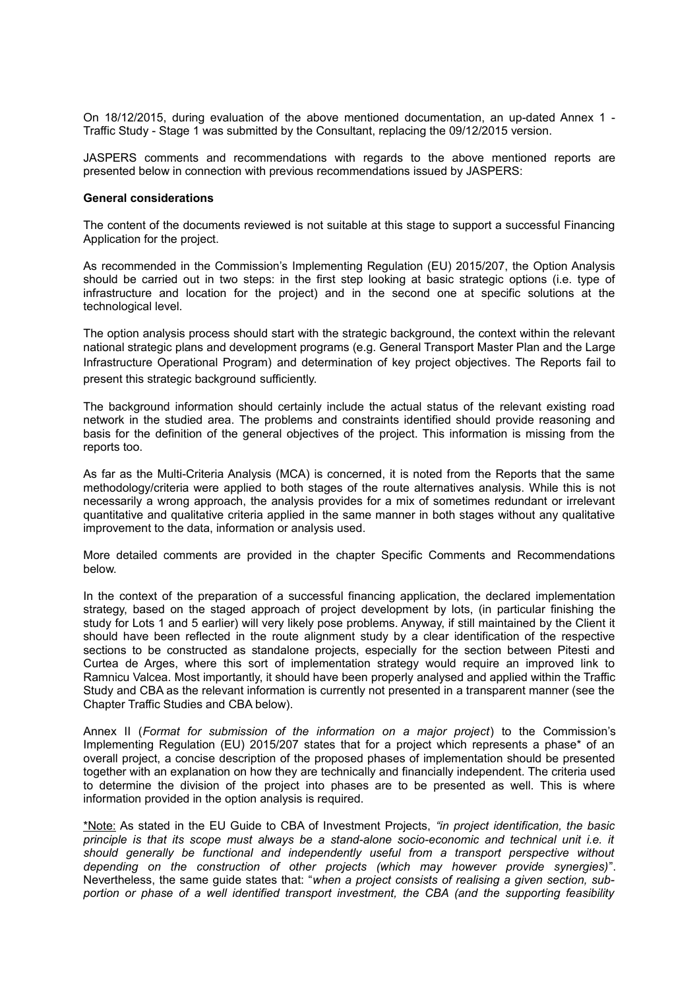On 18/12/2015, during evaluation of the above mentioned documentation, an up-dated Annex 1 - Traffic Study - Stage 1 was submitted by the Consultant, replacing the 09/12/2015 version.

JASPERS comments and recommendations with regards to the above mentioned reports are presented below in connection with previous recommendations issued by JASPERS:

#### **General considerations**

The content of the documents reviewed is not suitable at this stage to support a successful Financing Application for the project.

As recommended in the Commission's Implementing Regulation (EU) 2015/207, the Option Analysis should be carried out in two steps: in the first step looking at basic strategic options (i.e. type of infrastructure and location for the project) and in the second one at specific solutions at the technological level.

The option analysis process should start with the strategic background, the context within the relevant national strategic plans and development programs (e.g. General Transport Master Plan and the Large Infrastructure Operational Program) and determination of key project objectives. The Reports fail to present this strategic background sufficiently.

The background information should certainly include the actual status of the relevant existing road network in the studied area. The problems and constraints identified should provide reasoning and basis for the definition of the general objectives of the project. This information is missing from the reports too.

As far as the Multi-Criteria Analysis (MCA) is concerned, it is noted from the Reports that the same methodology/criteria were applied to both stages of the route alternatives analysis. While this is not necessarily a wrong approach, the analysis provides for a mix of sometimes redundant or irrelevant quantitative and qualitative criteria applied in the same manner in both stages without any qualitative improvement to the data, information or analysis used.

More detailed comments are provided in the chapter Specific Comments and Recommendations below.

In the context of the preparation of a successful financing application, the declared implementation strategy, based on the staged approach of project development by lots, (in particular finishing the study for Lots 1 and 5 earlier) will very likely pose problems. Anyway, if still maintained by the Client it should have been reflected in the route alignment study by a clear identification of the respective sections to be constructed as standalone projects, especially for the section between Pitesti and Curtea de Arges, where this sort of implementation strategy would require an improved link to Ramnicu Valcea. Most importantly, it should have been properly analysed and applied within the Traffic Study and CBA as the relevant information is currently not presented in a transparent manner (see the Chapter Traffic Studies and CBA below).

Annex II (*Format for submission of the information on a major project*) to the Commission's Implementing Regulation (EU) 2015/207 states that for a project which represents a phase\* of an overall project, a concise description of the proposed phases of implementation should be presented together with an explanation on how they are technically and financially independent. The criteria used to determine the division of the project into phases are to be presented as well. This is where information provided in the option analysis is required.

\*Note: As stated in the EU Guide to CBA of Investment Projects, *"in project identification, the basic principle is that its scope must always be a stand-alone socio-economic and technical unit i.e. it should generally be functional and independently useful from a transport perspective without depending on the construction of other projects (which may however provide synergies)*". Nevertheless, the same guide states that: "*when a project consists of realising a given section, subportion or phase of a well identified transport investment, the CBA (and the supporting feasibility*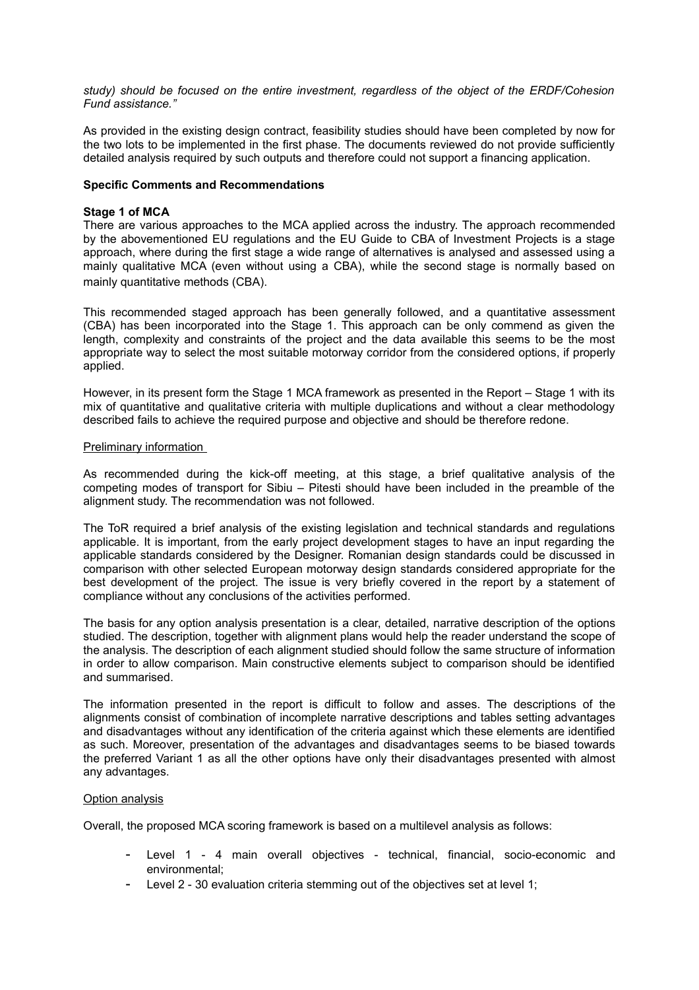*study) should be focused on the entire investment, regardless of the object of the ERDF/Cohesion Fund assistance."*

As provided in the existing design contract, feasibility studies should have been completed by now for the two lots to be implemented in the first phase. The documents reviewed do not provide sufficiently detailed analysis required by such outputs and therefore could not support a financing application.

### **Specific Comments and Recommendations**

### **Stage 1 of MCA**

There are various approaches to the MCA applied across the industry. The approach recommended by the abovementioned EU regulations and the EU Guide to CBA of Investment Projects is a stage approach, where during the first stage a wide range of alternatives is analysed and assessed using a mainly qualitative MCA (even without using a CBA), while the second stage is normally based on mainly quantitative methods (CBA).

This recommended staged approach has been generally followed, and a quantitative assessment (CBA) has been incorporated into the Stage 1. This approach can be only commend as given the length, complexity and constraints of the project and the data available this seems to be the most appropriate way to select the most suitable motorway corridor from the considered options, if properly applied.

However, in its present form the Stage 1 MCA framework as presented in the Report – Stage 1 with its mix of quantitative and qualitative criteria with multiple duplications and without a clear methodology described fails to achieve the required purpose and objective and should be therefore redone.

# Preliminary information

As recommended during the kick-off meeting, at this stage, a brief qualitative analysis of the competing modes of transport for Sibiu – Pitesti should have been included in the preamble of the alignment study. The recommendation was not followed.

The ToR required a brief analysis of the existing legislation and technical standards and regulations applicable. It is important, from the early project development stages to have an input regarding the applicable standards considered by the Designer. Romanian design standards could be discussed in comparison with other selected European motorway design standards considered appropriate for the best development of the project. The issue is very briefly covered in the report by a statement of compliance without any conclusions of the activities performed.

The basis for any option analysis presentation is a clear, detailed, narrative description of the options studied. The description, together with alignment plans would help the reader understand the scope of the analysis. The description of each alignment studied should follow the same structure of information in order to allow comparison. Main constructive elements subject to comparison should be identified and summarised.

The information presented in the report is difficult to follow and asses. The descriptions of the alignments consist of combination of incomplete narrative descriptions and tables setting advantages and disadvantages without any identification of the criteria against which these elements are identified as such. Moreover, presentation of the advantages and disadvantages seems to be biased towards the preferred Variant 1 as all the other options have only their disadvantages presented with almost any advantages.

### Option analysis

Overall, the proposed MCA scoring framework is based on a multilevel analysis as follows:

- Level 1 4 main overall objectives technical, financial, socio-economic and environmental;
- Level 2 30 evaluation criteria stemming out of the objectives set at level 1;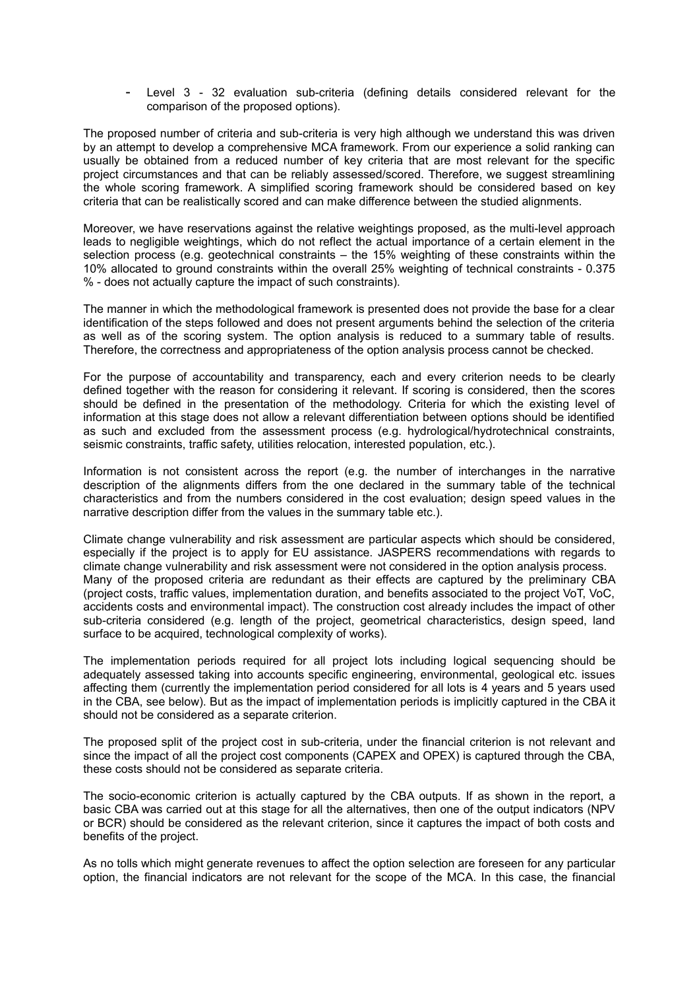- Level 3 - 32 evaluation sub-criteria (defining details considered relevant for the comparison of the proposed options).

The proposed number of criteria and sub-criteria is very high although we understand this was driven by an attempt to develop a comprehensive MCA framework. From our experience a solid ranking can usually be obtained from a reduced number of key criteria that are most relevant for the specific project circumstances and that can be reliably assessed/scored. Therefore, we suggest streamlining the whole scoring framework. A simplified scoring framework should be considered based on key criteria that can be realistically scored and can make difference between the studied alignments.

Moreover, we have reservations against the relative weightings proposed, as the multi-level approach leads to negligible weightings, which do not reflect the actual importance of a certain element in the selection process (e.g. geotechnical constraints – the 15% weighting of these constraints within the 10% allocated to ground constraints within the overall 25% weighting of technical constraints - 0.375 % - does not actually capture the impact of such constraints).

The manner in which the methodological framework is presented does not provide the base for a clear identification of the steps followed and does not present arguments behind the selection of the criteria as well as of the scoring system. The option analysis is reduced to a summary table of results. Therefore, the correctness and appropriateness of the option analysis process cannot be checked.

For the purpose of accountability and transparency, each and every criterion needs to be clearly defined together with the reason for considering it relevant. If scoring is considered, then the scores should be defined in the presentation of the methodology. Criteria for which the existing level of information at this stage does not allow a relevant differentiation between options should be identified as such and excluded from the assessment process (e.g. hydrological/hydrotechnical constraints, seismic constraints, traffic safety, utilities relocation, interested population, etc.).

Information is not consistent across the report (e.g. the number of interchanges in the narrative description of the alignments differs from the one declared in the summary table of the technical characteristics and from the numbers considered in the cost evaluation; design speed values in the narrative description differ from the values in the summary table etc.).

Climate change vulnerability and risk assessment are particular aspects which should be considered, especially if the project is to apply for EU assistance. JASPERS recommendations with regards to climate change vulnerability and risk assessment were not considered in the option analysis process. Many of the proposed criteria are redundant as their effects are captured by the preliminary CBA (project costs, traffic values, implementation duration, and benefits associated to the project VoT, VoC, accidents costs and environmental impact). The construction cost already includes the impact of other sub-criteria considered (e.g. length of the project, geometrical characteristics, design speed, land surface to be acquired, technological complexity of works).

The implementation periods required for all project lots including logical sequencing should be adequately assessed taking into accounts specific engineering, environmental, geological etc. issues affecting them (currently the implementation period considered for all lots is 4 years and 5 years used in the CBA, see below). But as the impact of implementation periods is implicitly captured in the CBA it should not be considered as a separate criterion.

The proposed split of the project cost in sub-criteria, under the financial criterion is not relevant and since the impact of all the project cost components (CAPEX and OPEX) is captured through the CBA, these costs should not be considered as separate criteria.

The socio-economic criterion is actually captured by the CBA outputs. If as shown in the report, a basic CBA was carried out at this stage for all the alternatives, then one of the output indicators (NPV or BCR) should be considered as the relevant criterion, since it captures the impact of both costs and benefits of the project.

As no tolls which might generate revenues to affect the option selection are foreseen for any particular option, the financial indicators are not relevant for the scope of the MCA. In this case, the financial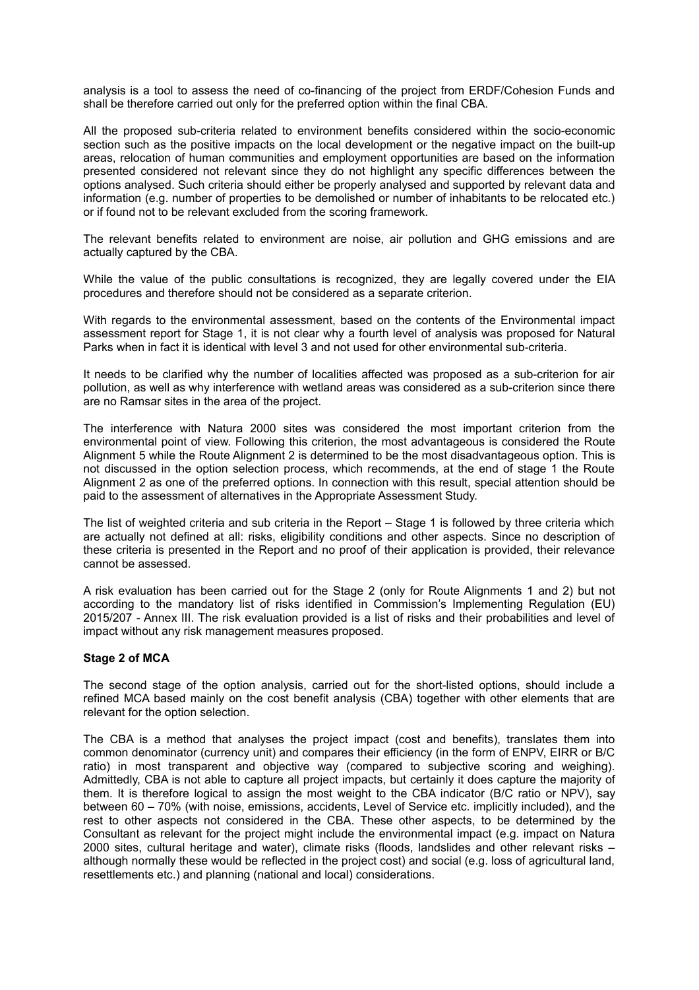analysis is a tool to assess the need of co-financing of the project from ERDF/Cohesion Funds and shall be therefore carried out only for the preferred option within the final CBA.

All the proposed sub-criteria related to environment benefits considered within the socio-economic section such as the positive impacts on the local development or the negative impact on the built-up areas, relocation of human communities and employment opportunities are based on the information presented considered not relevant since they do not highlight any specific differences between the options analysed. Such criteria should either be properly analysed and supported by relevant data and information (e.g. number of properties to be demolished or number of inhabitants to be relocated etc.) or if found not to be relevant excluded from the scoring framework.

The relevant benefits related to environment are noise, air pollution and GHG emissions and are actually captured by the CBA.

While the value of the public consultations is recognized, they are legally covered under the EIA procedures and therefore should not be considered as a separate criterion.

With regards to the environmental assessment, based on the contents of the Environmental impact assessment report for Stage 1, it is not clear why a fourth level of analysis was proposed for Natural Parks when in fact it is identical with level 3 and not used for other environmental sub-criteria.

It needs to be clarified why the number of localities affected was proposed as a sub-criterion for air pollution, as well as why interference with wetland areas was considered as a sub-criterion since there are no Ramsar sites in the area of the project.

The interference with Natura 2000 sites was considered the most important criterion from the environmental point of view. Following this criterion, the most advantageous is considered the Route Alignment 5 while the Route Alignment 2 is determined to be the most disadvantageous option. This is not discussed in the option selection process, which recommends, at the end of stage 1 the Route Alignment 2 as one of the preferred options. In connection with this result, special attention should be paid to the assessment of alternatives in the Appropriate Assessment Study.

The list of weighted criteria and sub criteria in the Report – Stage 1 is followed by three criteria which are actually not defined at all: risks, eligibility conditions and other aspects. Since no description of these criteria is presented in the Report and no proof of their application is provided, their relevance cannot be assessed.

A risk evaluation has been carried out for the Stage 2 (only for Route Alignments 1 and 2) but not according to the mandatory list of risks identified in Commission's Implementing Regulation (EU) 2015/207 - Annex III. The risk evaluation provided is a list of risks and their probabilities and level of impact without any risk management measures proposed.

### **Stage 2 of MCA**

The second stage of the option analysis, carried out for the short-listed options, should include a refined MCA based mainly on the cost benefit analysis (CBA) together with other elements that are relevant for the option selection.

The CBA is a method that analyses the project impact (cost and benefits), translates them into common denominator (currency unit) and compares their efficiency (in the form of ENPV, EIRR or B/C ratio) in most transparent and objective way (compared to subjective scoring and weighing). Admittedly, CBA is not able to capture all project impacts, but certainly it does capture the majority of them. It is therefore logical to assign the most weight to the CBA indicator (B/C ratio or NPV), say between 60 – 70% (with noise, emissions, accidents, Level of Service etc. implicitly included), and the rest to other aspects not considered in the CBA. These other aspects, to be determined by the Consultant as relevant for the project might include the environmental impact (e.g. impact on Natura 2000 sites, cultural heritage and water), climate risks (floods, landslides and other relevant risks – although normally these would be reflected in the project cost) and social (e.g. loss of agricultural land, resettlements etc.) and planning (national and local) considerations.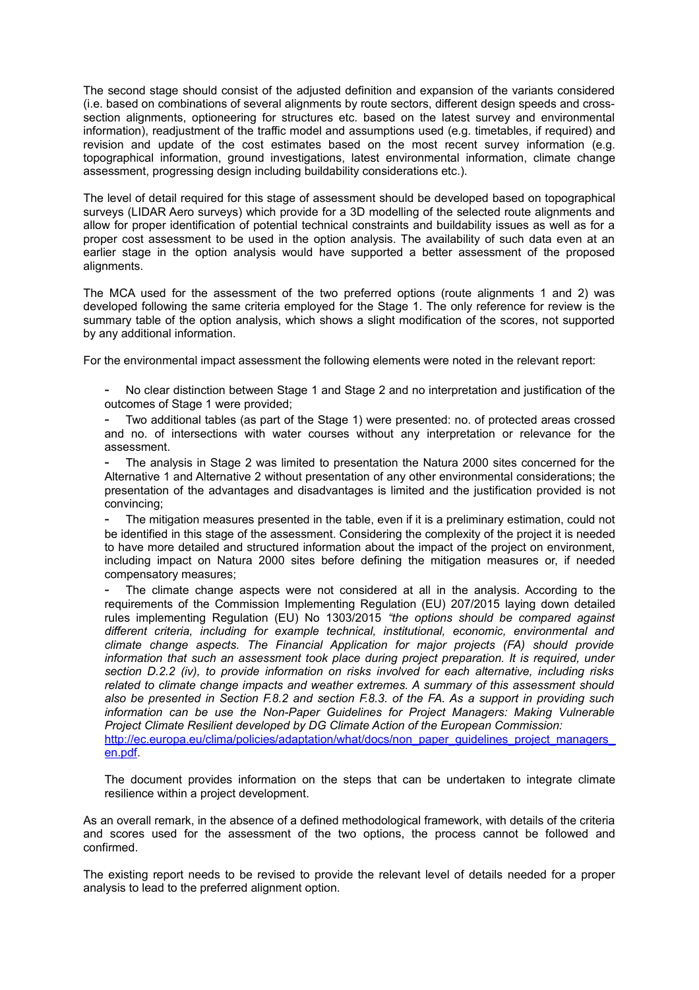The second stage should consist of the adjusted definition and expansion of the variants considered (i.e. based on combinations of several alignments by route sectors, different design speeds and crosssection alignments, optioneering for structures etc. based on the latest survey and environmental information), readjustment of the traffic model and assumptions used (e.g. timetables, if required) and revision and update of the cost estimates based on the most recent survey information (e.g. topographical information, ground investigations, latest environmental information, climate change assessment, progressing design including buildability considerations etc.).

The level of detail required for this stage of assessment should be developed based on topographical surveys (LIDAR Aero surveys) which provide for a 3D modelling of the selected route alignments and allow for proper identification of potential technical constraints and buildability issues as well as for a proper cost assessment to be used in the option analysis. The availability of such data even at an earlier stage in the option analysis would have supported a better assessment of the proposed alignments.

The MCA used for the assessment of the two preferred options (route alignments 1 and 2) was developed following the same criteria employed for the Stage 1. The only reference for review is the summary table of the option analysis, which shows a slight modification of the scores, not supported by any additional information.

For the environmental impact assessment the following elements were noted in the relevant report:

No clear distinction between Stage 1 and Stage 2 and no interpretation and justification of the outcomes of Stage 1 were provided;

- Two additional tables (as part of the Stage 1) were presented: no. of protected areas crossed and no. of intersections with water courses without any interpretation or relevance for the assessment.

The analysis in Stage 2 was limited to presentation the Natura 2000 sites concerned for the Alternative 1 and Alternative 2 without presentation of any other environmental considerations; the presentation of the advantages and disadvantages is limited and the justification provided is not convincing;

The mitigation measures presented in the table, even if it is a preliminary estimation, could not be identified in this stage of the assessment. Considering the complexity of the project it is needed to have more detailed and structured information about the impact of the project on environment, including impact on Natura 2000 sites before defining the mitigation measures or, if needed compensatory measures;

- The climate change aspects were not considered at all in the analysis. According to the requirements of the Commission Implementing Regulation (EU) 207/2015 laying down detailed rules implementing Regulation (EU) No 1303/2015 *"the options should be compared against different criteria, including for example technical, institutional, economic, environmental and climate change aspects. The Financial Application for major projects (FA) should provide information that such an assessment took place during project preparation. It is required, under section D.2.2 (iv), to provide information on risks involved for each alternative, including risks related to climate change impacts and weather extremes. A summary of this assessment should also be presented in Section F.8.2 and section F.8.3. of the FA. As a support in providing such information can be use the Non-Paper Guidelines for Project Managers: Making Vulnerable Project Climate Resilient developed by DG Climate Action of the European Commission:* http://ec.europa.eu/clima/policies/adaptation/what/docs/non\_paper\_guidelines\_project\_managers [en.pdf.](http://ec.europa.eu/clima/policies/adaptation/what/docs/non_paper_guidelines_project_managers_en.pdf)

The document provides information on the steps that can be undertaken to integrate climate resilience within a project development.

As an overall remark, in the absence of a defined methodological framework, with details of the criteria and scores used for the assessment of the two options, the process cannot be followed and confirmed.

The existing report needs to be revised to provide the relevant level of details needed for a proper analysis to lead to the preferred alignment option.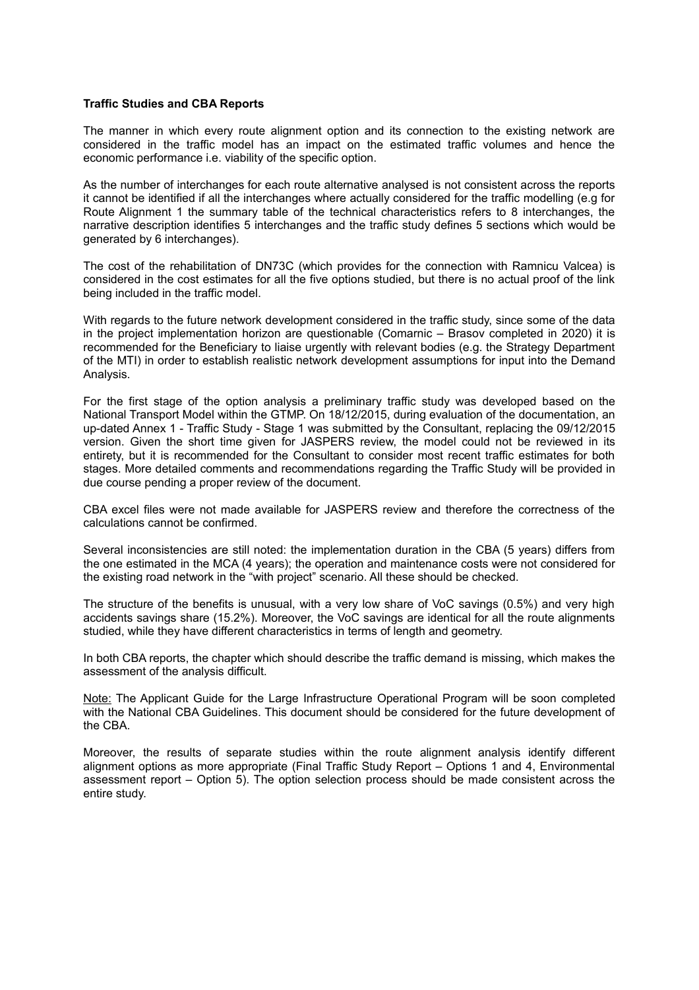### **Traffic Studies and CBA Reports**

The manner in which every route alignment option and its connection to the existing network are considered in the traffic model has an impact on the estimated traffic volumes and hence the economic performance i.e. viability of the specific option.

As the number of interchanges for each route alternative analysed is not consistent across the reports it cannot be identified if all the interchanges where actually considered for the traffic modelling (e.g for Route Alignment 1 the summary table of the technical characteristics refers to 8 interchanges, the narrative description identifies 5 interchanges and the traffic study defines 5 sections which would be generated by 6 interchanges).

The cost of the rehabilitation of DN73C (which provides for the connection with Ramnicu Valcea) is considered in the cost estimates for all the five options studied, but there is no actual proof of the link being included in the traffic model.

With regards to the future network development considered in the traffic study, since some of the data in the project implementation horizon are questionable (Comarnic – Brasov completed in 2020) it is recommended for the Beneficiary to liaise urgently with relevant bodies (e.g. the Strategy Department of the MTI) in order to establish realistic network development assumptions for input into the Demand Analysis.

For the first stage of the option analysis a preliminary traffic study was developed based on the National Transport Model within the GTMP. On 18/12/2015, during evaluation of the documentation, an up-dated Annex 1 - Traffic Study - Stage 1 was submitted by the Consultant, replacing the 09/12/2015 version. Given the short time given for JASPERS review, the model could not be reviewed in its entirety, but it is recommended for the Consultant to consider most recent traffic estimates for both stages. More detailed comments and recommendations regarding the Traffic Study will be provided in due course pending a proper review of the document.

CBA excel files were not made available for JASPERS review and therefore the correctness of the calculations cannot be confirmed.

Several inconsistencies are still noted: the implementation duration in the CBA (5 years) differs from the one estimated in the MCA (4 years); the operation and maintenance costs were not considered for the existing road network in the "with project" scenario. All these should be checked.

The structure of the benefits is unusual, with a very low share of VoC savings (0.5%) and very high accidents savings share (15.2%). Moreover, the VoC savings are identical for all the route alignments studied, while they have different characteristics in terms of length and geometry.

In both CBA reports, the chapter which should describe the traffic demand is missing, which makes the assessment of the analysis difficult.

Note: The Applicant Guide for the Large Infrastructure Operational Program will be soon completed with the National CBA Guidelines. This document should be considered for the future development of the CBA.

Moreover, the results of separate studies within the route alignment analysis identify different alignment options as more appropriate (Final Traffic Study Report – Options 1 and 4, Environmental assessment report – Option 5). The option selection process should be made consistent across the entire study.